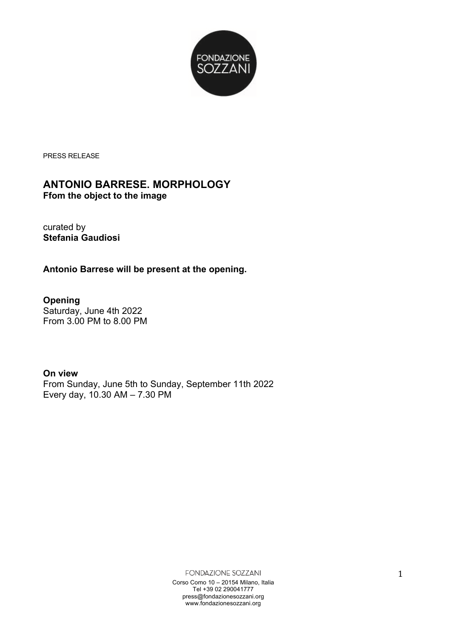

PRESS RELEASE

## **ANTONIO BARRESE. MORPHOLOGY**

**Ffom the object to the image**

curated by **Stefania Gaudiosi**

**Antonio Barrese will be present at the opening.**

**Opening** Saturday, June 4th 2022 From 3.00 PM to 8.00 PM

**On view** From Sunday, June 5th to Sunday, September 11th 2022 Every day, 10.30 AM – 7.30 PM

> FONDAZIONE SOZZANI Corso Como 10 – 20154 Milano, Italia Tel +39 02 290041777 press@fondazionesozzani.org www.fondazionesozzani.org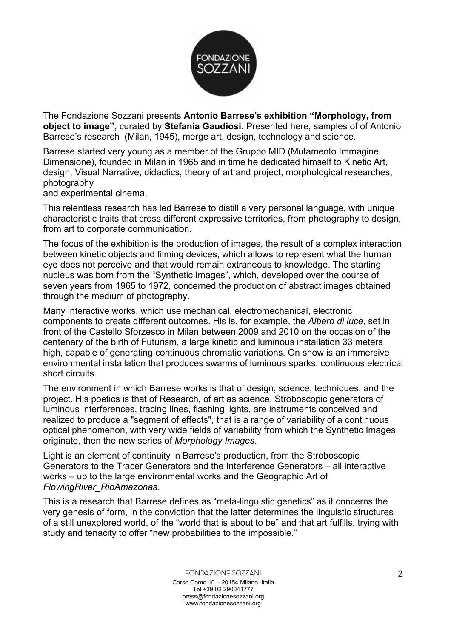

The Fondazione Sozzani presents **Antonio Barrese's exhibition "Morphology, from object to image"**, curated by **Stefania Gaudiosi**. Presented here, samples of of Antonio Barrese's research (Milan, 1945), merge art, design, technology and science.

Barrese started very young as a member of the Gruppo MID (Mutamento Immagine Dimensione), founded in Milan in 1965 and in time he dedicated himself to Kinetic Art, design, Visual Narrative, didactics, theory of art and project, morphological researches, photography

and experimental cinema.

This relentless research has led Barrese to distill a very personal language, with unique characteristic traits that cross different expressive territories, from photography to design, from art to corporate communication.

The focus of the exhibition is the production of images, the result of a complex interaction between kinetic objects and filming devices, which allows to represent what the human eye does not perceive and that would remain extraneous to knowledge. The starting nucleus was born from the "Synthetic Images", which, developed over the course of seven years from 1965 to 1972, concerned the production of abstract images obtained through the medium of photography.

Many interactive works, which use mechanical, electromechanical, electronic components to create different outcomes. His is, for example, the *Albero di luce*, set in front of the Castello Sforzesco in Milan between 2009 and 2010 on the occasion of the centenary of the birth of Futurism, a large kinetic and luminous installation 33 meters high, capable of generating continuous chromatic variations. On show is an immersive environmental installation that produces swarms of luminous sparks, continuous electrical short circuits.

The environment in which Barrese works is that of design, science, techniques, and the project. His poetics is that of Research, of art as science. Stroboscopic generators of luminous interferences, tracing lines, flashing lights, are instruments conceived and realized to produce a "segment of effects", that is a range of variability of a continuous optical phenomenon, with very wide fields of variability from which the Synthetic Images originate, then the new series of *Morphology Images*.

Light is an element of continuity in Barrese's production, from the Stroboscopic Generators to the Tracer Generators and the Interference Generators – all interactive works – up to the large environmental works and the Geographic Art of *FlowingRiver\_RioAmazonas*.

This is a research that Barrese defines as "meta-linguistic genetics" as it concerns the very genesis of form, in the conviction that the latter determines the linguistic structures of a still unexplored world, of the "world that is about to be" and that art fulfills, trying with study and tenacity to offer "new probabilities to the impossible."